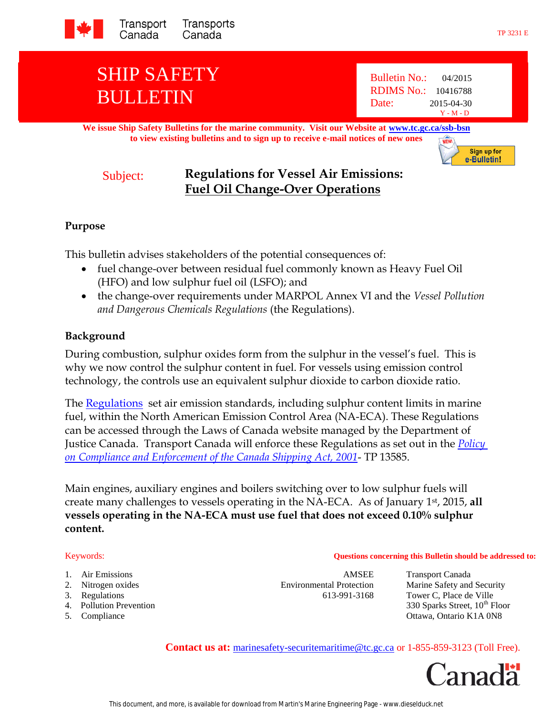

# SHIP SAFETY BULLETIN

Bulletin No.: 04/2015 RDIMS No.: 10416788 Date: 2015-04-30 Y - M - D

**We issue Ship Safety Bulletins for the marine community. Visit our Website at [www.tc.gc.ca/ssb-bsn](http://www.tc.gc.ca/ssb-bsn) to view existing bulletins and to sign up to receive e-mail notices of new ones NEW** 

Sign up for e-Bulletin!

## Subject: **Regulations for Vessel Air Emissions: Fuel Oil Change-Over Operations**

## **Purpose**

This bulletin advises stakeholders of the potential consequences of:

- fuel change-over between residual fuel commonly known as Heavy Fuel Oil (HFO) and low sulphur fuel oil (LSFO); and
- the change-over requirements under MARPOL Annex VI and the *Vessel Pollution and Dangerous Chemicals Regulations* (the Regulations).

## **Background**

During combustion, sulphur oxides form from the sulphur in the vessel's fuel. This is why we now control the sulphur content in fuel. For vessels using emission control technology, the controls use an equivalent sulphur dioxide to carbon dioxide ratio.

The [Regulations](http://laws-lois.justice.gc.ca/eng/regulations/SOR-2012-69/index.html) set air emission standards, including sulphur content limits in marine fuel, within the North American Emission Control Area (NA-ECA). These Regulations can be accessed through the Laws of Canada website managed by the Department of Justice Canada. Transport Canada will enforce these Regulations as set out in the *[Policy](http://www.tc.gc.ca/eng/marinesafety/tp-tp13585-policy-ce-csa2001-1356.htm)  [on Compliance and Enforcement of the Canada Shipping Act, 2001](http://www.tc.gc.ca/eng/marinesafety/tp-tp13585-policy-ce-csa2001-1356.htm)*- TP 13585.

Main engines, auxiliary engines and boilers switching over to low sulphur fuels will create many challenges to vessels operating in the NA-ECA. As of January 1st, 2015, **all vessels operating in the NA-ECA must use fuel that does not exceed 0.10% sulphur content.**

#### Keywords: **Questions concerning this Bulletin should be addressed to:**

- 1. Air Emissions AMSEE Transport Canada
- 
- 
- 
- 

3. Regulations 613-991-3168 Tower C, Place de Ville

2. Nitrogen oxides Environmental Protection Marine Safety and Security 4. Pollution Prevention 330 Sparks Street, 10<sup>th</sup> Floor 5. Compliance Ottawa, Ontario K1A 0N8

**Contact us at:** marinesafety-securitemaritime@tc.gc.ca or 1-855-859-3123 (Toll Free).

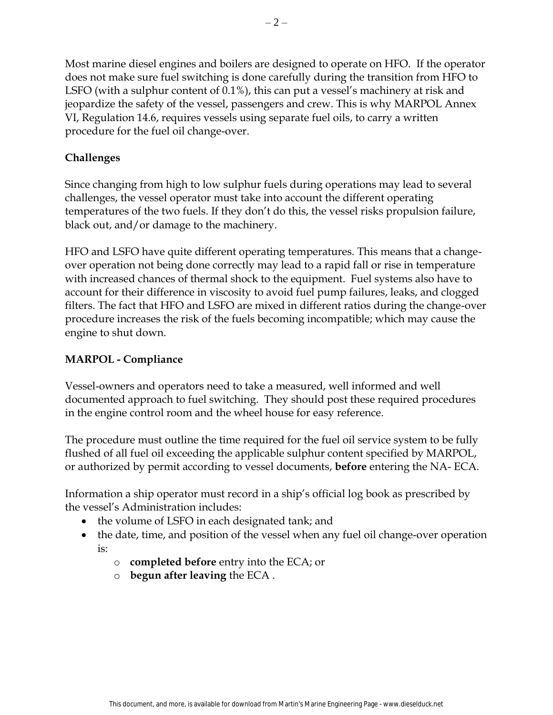Most marine diesel engines and boilers are designed to operate on HFO. If the operator does not make sure fuel switching is done carefully during the transition from HFO to LSFO (with a sulphur content of 0.1%), this can put a vessel's machinery at risk and jeopardize the safety of the vessel, passengers and crew. This is why MARPOL Annex VI, Regulation 14.6, requires vessels using separate fuel oils, to carry a written procedure for the fuel oil change-over.

## **Challenges**

Since changing from high to low sulphur fuels during operations may lead to several challenges, the vessel operator must take into account the different operating temperatures of the two fuels. If they don't do this, the vessel risks propulsion failure, black out, and/or damage to the machinery.

HFO and LSFO have quite different operating temperatures. This means that a changeover operation not being done correctly may lead to a rapid fall or rise in temperature with increased chances of thermal shock to the equipment. Fuel systems also have to account for their difference in viscosity to avoid fuel pump failures, leaks, and clogged filters. The fact that HFO and LSFO are mixed in different ratios during the change-over procedure increases the risk of the fuels becoming incompatible; which may cause the engine to shut down.

## **MARPOL - Compliance**

Vessel-owners and operators need to take a measured, well informed and well documented approach to fuel switching. They should post these required procedures in the engine control room and the wheel house for easy reference.

The procedure must outline the time required for the fuel oil service system to be fully flushed of all fuel oil exceeding the applicable sulphur content specified by MARPOL, or authorized by permit according to vessel documents, **before** entering the NA- ECA.

Information a ship operator must record in a ship's official log book as prescribed by the vessel's Administration includes:

- the volume of LSFO in each designated tank; and
- the date, time, and position of the vessel when any fuel oil change-over operation is:
	- o **completed before** entry into the ECA; or
	- o **begun after leaving** the ECA .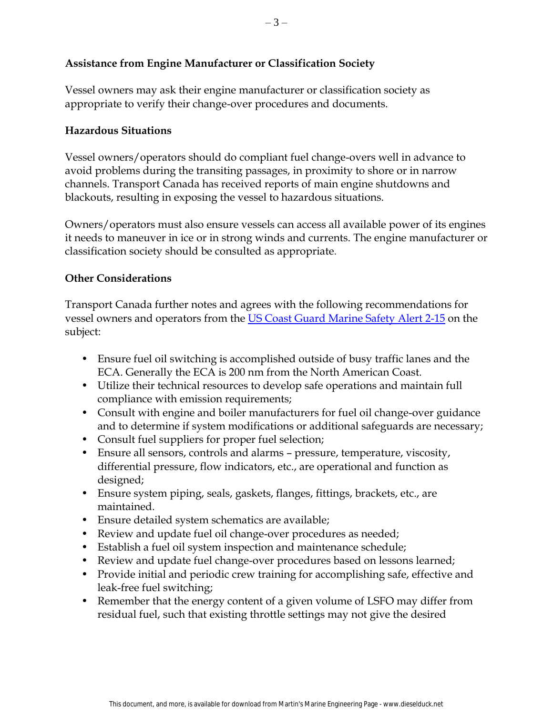## **Assistance from Engine Manufacturer or Classification Society**

Vessel owners may ask their engine manufacturer or classification society as appropriate to verify their change-over procedures and documents.

#### **Hazardous Situations**

Vessel owners/operators should do compliant fuel change-overs well in advance to avoid problems during the transiting passages, in proximity to shore or in narrow channels. Transport Canada has received reports of main engine shutdowns and blackouts, resulting in exposing the vessel to hazardous situations.

Owners/operators must also ensure vessels can access all available power of its engines it needs to maneuver in ice or in strong winds and currents. The engine manufacturer or classification society should be consulted as appropriate.

### **Other Considerations**

Transport Canada further notes and agrees with the following recommendations for vessel owners and operators from the US Coast Guard [Marine Safety Alert 2-15](https://homeport.uscg.mil/mycg/portal/ep/home.do) on the subject:

- Ensure fuel oil switching is accomplished outside of busy traffic lanes and the ECA. Generally the ECA is 200 nm from the North American Coast.
- Utilize their technical resources to develop safe operations and maintain full compliance with emission requirements;
- Consult with engine and boiler manufacturers for fuel oil change-over guidance and to determine if system modifications or additional safeguards are necessary;
- Consult fuel suppliers for proper fuel selection;
- Ensure all sensors, controls and alarms pressure, temperature, viscosity, differential pressure, flow indicators, etc., are operational and function as designed;
- Ensure system piping, seals, gaskets, flanges, fittings, brackets, etc., are maintained.
- Ensure detailed system schematics are available;
- Review and update fuel oil change-over procedures as needed;
- Establish a fuel oil system inspection and maintenance schedule;
- Review and update fuel change-over procedures based on lessons learned;
- Provide initial and periodic crew training for accomplishing safe, effective and leak-free fuel switching;
- Remember that the energy content of a given volume of LSFO may differ from residual fuel, such that existing throttle settings may not give the desired